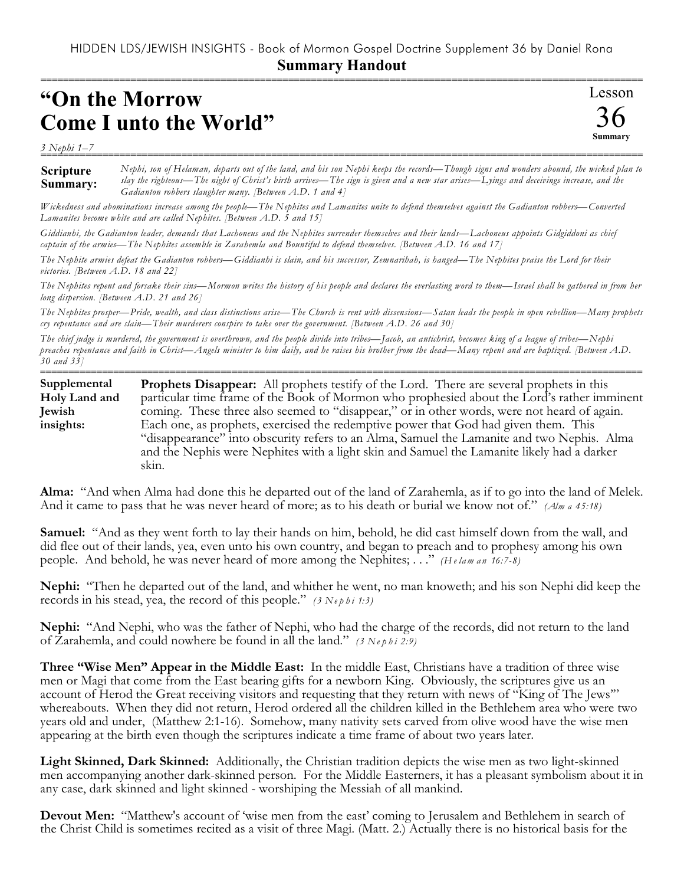## HIDDEN LDS/JEWISH INSIGHTS - Book of Mormon Gospel Doctrine Supplement 36 by Daniel Rona **Summary Handout**

===========================================================================================================

## **"On the Morrow Come I unto the World"**

*3 Nephi 1–7*

Lesson 36 **Summary**

**Scripture Summary:** =========================================================================================================== *Nephi, son of Helaman, departs out of the land, and his son Nephi keeps the records—Though signs and wonders abound, the wicked plan to slay the righteous—The night of Christ's birth arrives—The sign is given and a new star arises—Lyings and deceivings increase, and the Gadianton robbers slaughter many. [Between A.D. 1 and 4]*

*Wickedness and abominations increase among the people—The Nephites and Lamanites unite to defend themselves against the Gadianton robbers—Converted Lamanites become white and are called Nephites. [Between A.D. 5 and 15]*

*Giddianhi, the Gadianton leader, demands that Lachoneus and the Nephites surrender themselves and their lands—Lachoneus appoints Gidgiddoni as chief captain of the armies—The Nephites assemble in Zarahemla and Bountiful to defend themselves. [Between A.D. 16 and 17]*

*The Nephite armies defeat the Gadianton robbers—Giddianhi is slain, and his successor, Zemnarihah, is hanged—The Nephites praise the Lord for their victories. [Between A.D. 18 and 22]*

*The Nephites repent and forsake their sins—Mormon writes the history of his people and declares the everlasting word to them—Israel shall be gathered in from her long dispersion. [Between A.D. 21 and 26]*

*The Nephites prosper—Pride, wealth, and class distinctions arise—The Church is rent with dissensions—Satan leads the people in open rebellion—Many prophets cry repentance and are slain—Their murderers conspire to take over the government. [Between A.D. 26 and 30]*

*The chief judge is murdered, the government is overthrown, and the people divide into tribes—Jacob, an antichrist, becomes king of a league of tribes—Nephi preaches repentance and faith in Christ—Angels minister to him daily, and he raises his brother from the dead—Many repent and are baptized. [Between A.D. 30 and 33]*

=========================================================================================================== **Prophets Disappear:** All prophets testify of the Lord. There are several prophets in this particular time frame of the Book of Mormon who prophesied about the Lord's rather imminent coming. These three also seemed to "disappear," or in other words, were not heard of again. Each one, as prophets, exercised the redemptive power that God had given them. This "disappearance" into obscurity refers to an Alma, Samuel the Lamanite and two Nephis. Alma and the Nephis were Nephites with a light skin and Samuel the Lamanite likely had a darker skin. **Supplemental Holy Land and Jewish insights:**

**Alma:** "And when Alma had done this he departed out of the land of Zarahemla, as if to go into the land of Melek. And it came to pass that he was never heard of more; as to his death or burial we know not of." *(Alm a 45:18)*

**Samuel:** "And as they went forth to lay their hands on him, behold, he did cast himself down from the wall, and did flee out of their lands, yea, even unto his own country, and began to preach and to prophesy among his own people. And behold, he was never heard of more among the Nephites; . . ." *(H e lam a n 16:7-8)*

**Nephi:** "Then he departed out of the land, and whither he went, no man knoweth; and his son Nephi did keep the records in his stead, yea, the record of this people." *(3 Ne p h i 1:3)*

**Nephi:** "And Nephi, who was the father of Nephi, who had the charge of the records, did not return to the land of Zarahemla, and could nowhere be found in all the land." *(3 Ne p h i 2:9)*

**Three "Wise Men" Appear in the Middle East:** In the middle East, Christians have a tradition of three wise men or Magi that come from the East bearing gifts for a newborn King. Obviously, the scriptures give us an account of Herod the Great receiving visitors and requesting that they return with news of "King of The Jews'" whereabouts. When they did not return, Herod ordered all the children killed in the Bethlehem area who were two years old and under, (Matthew 2:1-16). Somehow, many nativity sets carved from olive wood have the wise men appearing at the birth even though the scriptures indicate a time frame of about two years later.

**Light Skinned, Dark Skinned:** Additionally, the Christian tradition depicts the wise men as two light-skinned men accompanying another dark-skinned person. For the Middle Easterners, it has a pleasant symbolism about it in any case, dark skinned and light skinned - worshiping the Messiah of all mankind.

**Devout Men:** "Matthew's account of 'wise men from the east' coming to Jerusalem and Bethlehem in search of the Christ Child is sometimes recited as a visit of three Magi. (Matt. 2.) Actually there is no historical basis for the